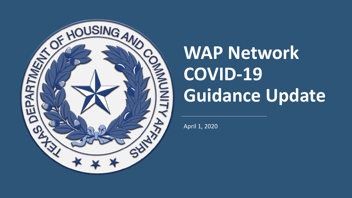

# **WAP Network COVID-19 Guidance Update**

April 1, 2020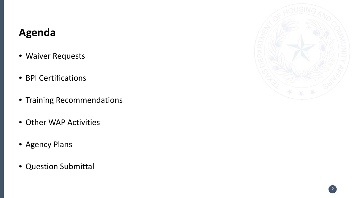#### **Agenda**

- Waiver Requests
- BPI Certifications
- Training Recommendations
- Other WAP Activities
- Agency Plans
- Question Submittal

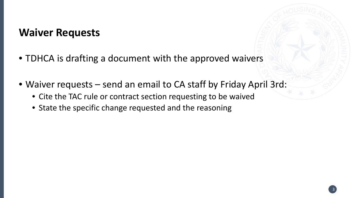#### **Waiver Requests**

- TDHCA is drafting a document with the approved waivers
- Waiver requests send an email to CA staff by Friday April 3rd:
	- Cite the TAC rule or contract section requesting to be waived
	- State the specific change requested and the reasoning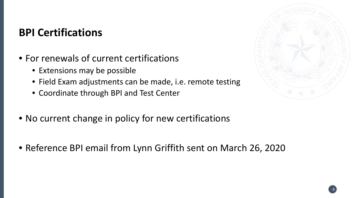#### **BPI Certifications**

- For renewals of current certifications
	- Extensions may be possible
	- Field Exam adjustments can be made, i.e. remote testing
	- Coordinate through BPI and Test Center
- No current change in policy for new certifications
- Reference BPI email from Lynn Griffith sent on March 26, 2020



4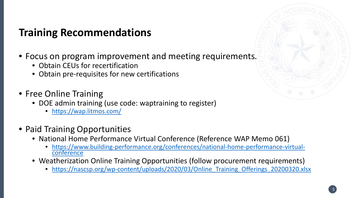#### **Training Recommendations**

- Focus on program improvement and meeting requirements.
	- Obtain CEUs for recertification
	- Obtain pre-requisites for new certifications
- Free Online Training
	- DOE admin training (use code: waptraining to register)
		- <https://wap.litmos.com/>
- Paid Training Opportunities
	- National Home Performance Virtual Conference (Reference WAP Memo 061)
		- [https://www.building-performance.org/conferences/national-home-performance-virtual-](https://www.building-performance.org/conferences/national-home-performance-virtual-conference) conference
	- Weatherization Online Training Opportunities (follow procurement requirements)
		- https://nascsp.org/wp-content/uploads/2020/03/Online Training Offerings 20200320.xlsx

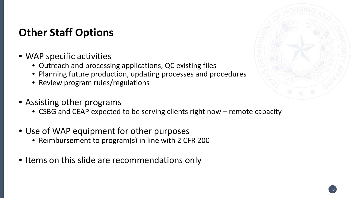#### **Other Staff Options**

- WAP specific activities
	- Outreach and processing applications, QC existing files
	- Planning future production, updating processes and procedures
	- Review program rules/regulations
- Assisting other programs
	- CSBG and CEAP expected to be serving clients right now remote capacity
- Use of WAP equipment for other purposes
	- Reimbursement to program(s) in line with 2 CFR 200
- Items on this slide are recommendations only

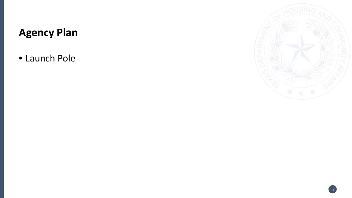## **Agency Plan**

• Launch Pole

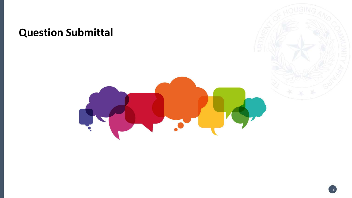### **Question Submittal**